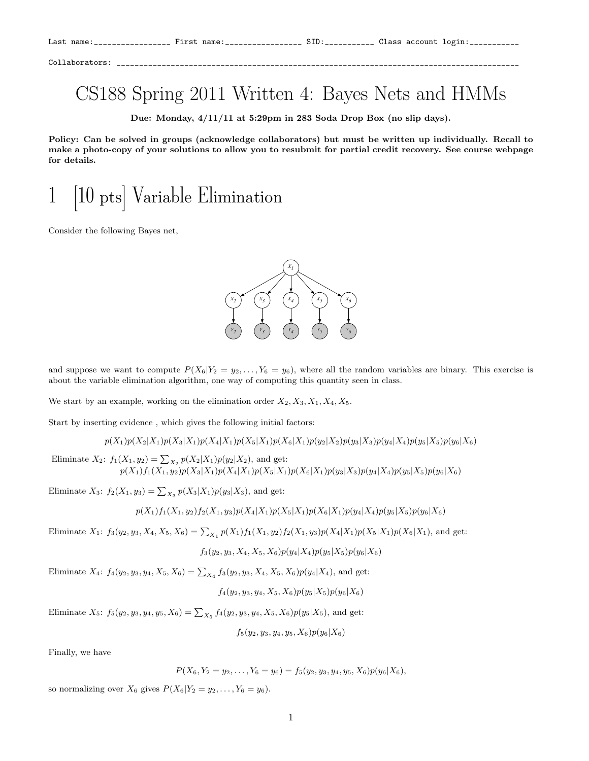Collaborators: \_\_\_\_\_\_\_\_\_\_\_\_\_\_\_\_\_\_\_\_\_\_\_\_\_\_\_\_\_\_\_\_\_\_\_\_\_\_\_\_\_\_\_\_\_\_\_\_\_\_\_\_\_\_\_\_\_\_\_\_\_\_\_\_\_\_\_\_\_\_\_\_\_\_\_\_\_\_\_\_\_\_\_\_\_\_\_\_\_

## CS188 Spring 2011 Written 4: Bayes Nets and HMMs

Due: Monday, 4/11/11 at 5:29pm in 283 Soda Drop Box (no slip days).

Policy: Can be solved in groups (acknowledge collaborators) but must be written up individually. Recall to make a photo-copy of your solutions to allow you to resubmit for partial credit recovery. See course webpage for details.

## 1 [10 pts] Variable Elimination

Consider the following Bayes net,



and suppose we want to compute  $P(X_6|Y_2 = y_2, \ldots, Y_6 = y_6)$ , where all the random variables are binary. This exercise is about the variable elimination algorithm, one way of computing this quantity seen in class.

We start by an example, working on the elimination order  $X_2, X_3, X_1, X_4, X_5$ .

Start by inserting evidence , which gives the following initial factors:

$$
p(X_1)p(X_2|X_1)p(X_3|X_1)p(X_4|X_1)p(X_5|X_1)p(X_6|X_1)p(y_2|X_2)p(y_3|X_3)p(y_4|X_4)p(y_5|X_5)p(y_6|X_6)
$$

Eliminate  $X_2$ :  $f_1(X_1, y_2) = \sum_{X_2} p(X_2|X_1)p(y_2|X_2)$ , and get:  $p(X_1)f_1(X_1,y_2)p(X_3|X_1)p(X_4|X_1)p(X_5|X_1)p(X_6|X_1)p(y_3|X_3)p(y_4|X_4)p(y_5|X_5)p(y_6|X_6)$ 

Eliminate  $X_3$ :  $f_2(X_1, y_3) = \sum_{X_3} p(X_3|X_1)p(y_3|X_3)$ , and get:

$$
p(X_1)f_1(X_1,y_2)f_2(X_1,y_3)p(X_4|X_1)p(X_5|X_1)p(X_6|X_1)p(y_4|X_4)p(y_5|X_5)p(y_6|X_6)
$$

Eliminate  $X_1$ :  $f_3(y_2, y_3, X_4, X_5, X_6) = \sum_{X_1} p(X_1) f_1(X_1, y_2) f_2(X_1, y_3) p(X_4 | X_1) p(X_5 | X_1) p(X_6 | X_1)$ , and get:

 $f_3(y_2, y_3, X_4, X_5, X_6)p(y_4|X_4)p(y_5|X_5)p(y_6|X_6)$ 

Eliminate  $X_4$ :  $f_4(y_2, y_3, y_4, X_5, X_6) = \sum_{X_4} f_3(y_2, y_3, X_4, X_5, X_6)p(y_4|X_4)$ , and get:

 $f_4(y_2, y_3, y_4, X_5, X_6)p(y_5|X_5)p(y_6|X_6)$ 

Eliminate  $X_5$ :  $f_5(y_2, y_3, y_4, y_5, X_6) = \sum_{X_5} f_4(y_2, y_3, y_4, X_5, X_6) p(y_5|X_5)$ , and get:

 $f_5(y_2, y_3, y_4, y_5, X_6)p(y_6|X_6)$ 

Finally, we have

$$
P(X_6, Y_2 = y_2, \ldots, Y_6 = y_6) = f_5(y_2, y_3, y_4, y_5, X_6)p(y_6|X_6),
$$

so normalizing over  $X_6$  gives  $P(X_6|Y_2=y_2,\ldots,Y_6=y_6)$ .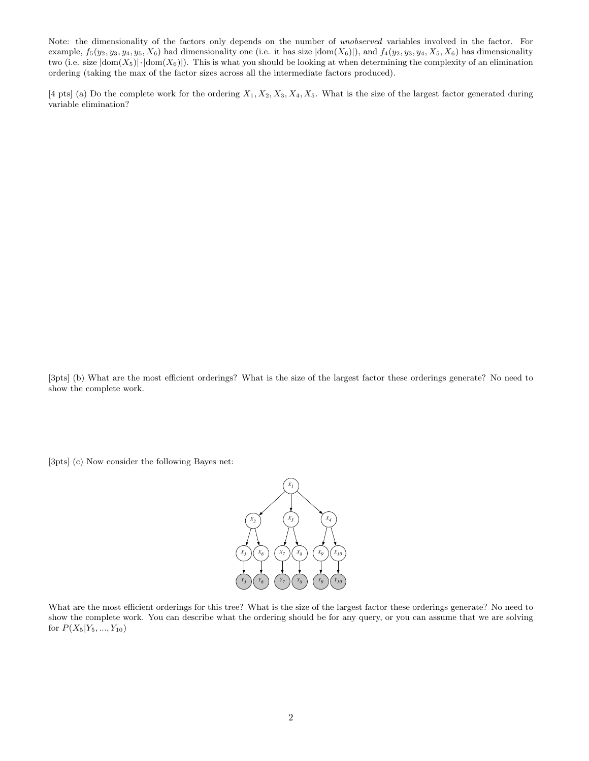Note: the dimensionality of the factors only depends on the number of unobserved variables involved in the factor. For example,  $f_5(y_2, y_3, y_4, y_5, X_6)$  had dimensionality one (i.e. it has size  $|\text{dom}(X_6)|$ ), and  $f_4(y_2, y_3, y_4, X_5, X_6)$  has dimensionality two (i.e. size  $|dom(X_5)| \cdot |dom(X_6)|$ ). This is what you should be looking at when determining the complexity of an elimination ordering (taking the max of the factor sizes across all the intermediate factors produced).

[4 pts] (a) Do the complete work for the ordering  $X_1, X_2, X_3, X_4, X_5$ . What is the size of the largest factor generated during variable elimination?

[3pts] (b) What are the most efficient orderings? What is the size of the largest factor these orderings generate? No need to show the complete work.

[3pts] (c) Now consider the following Bayes net:



What are the most efficient orderings for this tree? What is the size of the largest factor these orderings generate? No need to show the complete work. You can describe what the ordering should be for any query, or you can assume that we are solving for  $P(X_5|Y_5, ..., Y_{10})$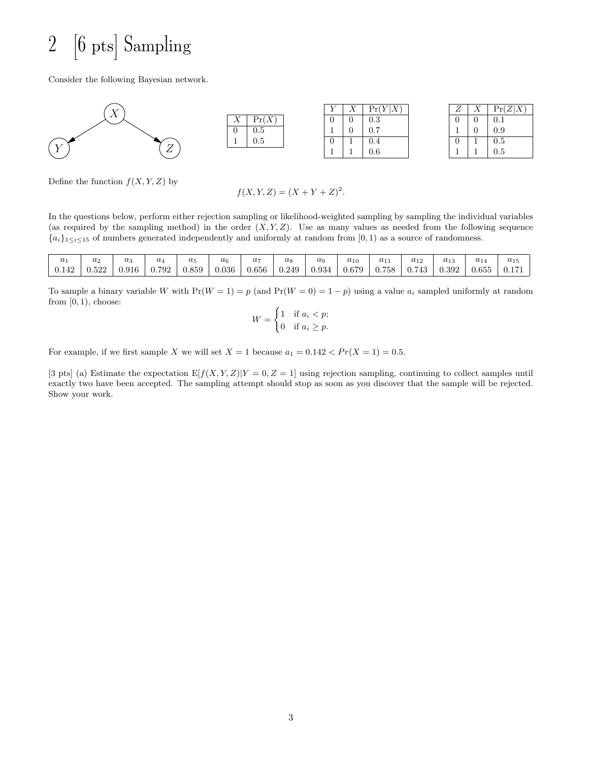## 2 [6 pts] Sampling

Consider the following Bayesian network.



Define the function  $f(X, Y, Z)$  by

$$
f(X, Y, Z) = (X + Y + Z)^2.
$$

In the questions below, perform either rejection sampling or likelihood-weighted sampling by sampling the individual variables (as required by the sampling method) in the order  $(X, Y, Z)$ . Use as many values as needed from the following sequence  ${a_i}_{1\leq i\leq 15}$  of numbers generated independently and uniformly at random from [0, 1) as a source of randomness.

|       | $a_2$ | $a_3$ | $u_4$ | $a_{5}$ | $u_6$ | $a_{\tau}$ | $u_8$ | аg    | $a_{10}$ |       | $a_{12}$   | $a_{13}$ | $u_{14}$ | $a_{15}$ |
|-------|-------|-------|-------|---------|-------|------------|-------|-------|----------|-------|------------|----------|----------|----------|
| 0.142 | 0.522 | 0.916 | 0.792 | 0.859   | 0.036 | 0.656      | 0.249 | 0.934 | 0.679    | 0.758 | .743<br>U. | 0.392    | 0.655    | 0.171    |

To sample a binary variable W with  $Pr(W = 1) = p$  (and  $Pr(W = 0) = 1 - p$ ) using a value  $a_i$  sampled uniformly at random from  $[0, 1)$ , choose:

$$
W = \begin{cases} 1 & \text{if } a_i < p; \\ 0 & \text{if } a_i \ge p. \end{cases}
$$

For example, if we first sample X we will set  $X = 1$  because  $a_1 = 0.142 < Pr(X = 1) = 0.5$ .

[3 pts] (a) Estimate the expectation  $E[f(X, Y, Z)|Y = 0, Z = 1]$  using rejection sampling, continuing to collect samples until exactly two have been accepted. The sampling attempt should stop as soon as you discover that the sample will be rejected. Show your work.